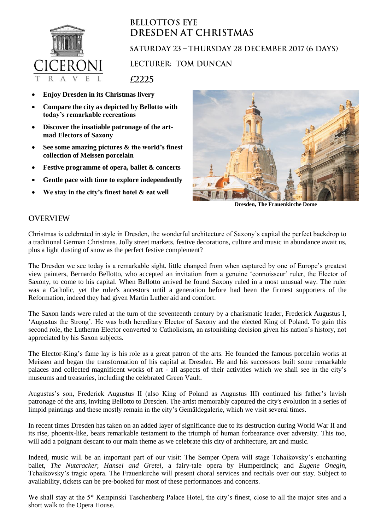

## **BELLOTTO'S EYE** DRESDEN AT CHRISTMAS SATURDAY 23 - THURSDAY 28 DECEMBER 2017 (6 DAYS)

**LECTURER: TOM DUNCAN** 

£2225

- **Enjoy Dresden in its Christmas livery**
- **Compare the city as depicted by Bellotto with today's remarkable recreations**
- **Discover the insatiable patronage of the artmad Electors of Saxony**
- **See some amazing pictures & the world's finest collection of Meissen porcelain**
- **Festive programme of opera, ballet & concerts**
- **Gentle pace with time to explore independently**
- **We stay in the city's finest hotel & eat well**



**Dresden, The Frauenkirche Dome**

## **OVERVIEW**

Christmas is celebrated in style in Dresden, the wonderful architecture of Saxony's capital the perfect backdrop to a traditional German Christmas. Jolly street markets, festive decorations, culture and music in abundance await us, plus a light dusting of snow as the perfect festive complement?

The Dresden we see today is a remarkable sight, little changed from when captured by one of Europe's greatest view painters, Bernardo Bellotto, who accepted an invitation from a genuine 'connoisseur' ruler, the Elector of Saxony, to come to his capital. When Bellotto arrived he found Saxony ruled in a most unusual way. The ruler was a Catholic, yet the ruler's ancestors until a generation before had been the firmest supporters of the Reformation, indeed they had given Martin Luther aid and comfort.

The Saxon lands were ruled at the turn of the seventeenth century by a charismatic leader, Frederick Augustus I, 'Augustus the Strong'. He was both hereditary Elector of Saxony and the elected King of Poland. To gain this second role, the Lutheran Elector converted to Catholicism, an astonishing decision given his nation's history, not appreciated by his Saxon subjects.

The Elector-King's fame lay is his role as a great patron of the arts. He founded the famous porcelain works at Meissen and began the transformation of his capital at Dresden. He and his successors built some remarkable palaces and collected magnificent works of art - all aspects of their activities which we shall see in the city's museums and treasuries, including the celebrated Green Vault.

Augustus's son, Frederick Augustus II (also King of Poland as Augustus III) continued his father's lavish patronage of the arts, inviting Bellotto to Dresden. The artist memorably captured the city's evolution in a series of limpid paintings and these mostly remain in the city's Gemäldegalerie, which we visit several times.

In recent times Dresden has taken on an added layer of significance due to its destruction during World War II and its rise, phoenix-like, bears remarkable testament to the triumph of human forbearance over adversity. This too, will add a poignant descant to our main theme as we celebrate this city of architecture, art and music.

Indeed, music will be an important part of our visit: The Semper Opera will stage Tchaikovsky's enchanting ballet, *The Nutcracker*; *Hansel and Gretel*, a fairy-tale opera by Humperdinck; and *Eugene Onegin*, Tchaikovsky's tragic opera. The Frauenkirche will present choral services and recitals over our stay. Subject to availability, tickets can be pre-booked for most of these performances and concerts.

We shall stay at the 5\* Kempinski Taschenberg Palace Hotel, the city's finest, close to all the major sites and a short walk to the Opera House.